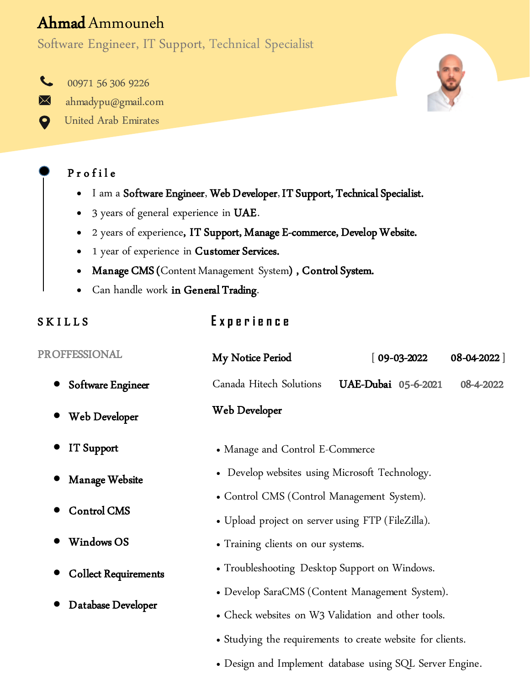# Ahmad Ammouneh

Software Engineer, IT Support, Technical Specialist

 $\mathbf{C}$ 00971 56 306 9226  $\boxtimes$ ahmadypu@gmail.com

United Arab Emirates

### P r o f i l e

 $\mathbf Q$ 

- I am a Software Engineer, Web Developer, IT Support, Technical Specialist.
- 3 years of general experience in UAE.
- 2 years of experience, IT Support, Manage E-commerce, Develop Website.
- 1 year of experience in Customer Services.
- Manage CMS (Content Management System) , Control System.
- Can handle work in General Trading.

#### **SKILLS E x p e r i e n c e**

| <b>PROFFESSIONAL</b>        | My Notice Period                                           | $[09-03-2022]$      | 08-04-2022] |  |  |
|-----------------------------|------------------------------------------------------------|---------------------|-------------|--|--|
| Software Engineer           | Canada Hitech Solutions                                    | UAE-Dubai 05-6-2021 | 08-4-2022   |  |  |
| Web Developer               | Web Developer                                              |                     |             |  |  |
| <b>IT Support</b>           | • Manage and Control E-Commerce                            |                     |             |  |  |
| Manage Website              | • Develop websites using Microsoft Technology.             |                     |             |  |  |
|                             | • Control CMS (Control Management System).                 |                     |             |  |  |
| <b>Control CMS</b>          | • Upload project on server using FTP (FileZilla).          |                     |             |  |  |
| <b>Windows OS</b>           | • Training clients on our systems.                         |                     |             |  |  |
| <b>Collect Requirements</b> | • Troubleshooting Desktop Support on Windows.              |                     |             |  |  |
| Database Developer          | • Develop SaraCMS (Content Management System).             |                     |             |  |  |
|                             | • Check websites on W3 Validation and other tools.         |                     |             |  |  |
|                             | • Studying the requirements to create website for clients. |                     |             |  |  |
|                             | • Design and Implement database using SQL Server Engine.   |                     |             |  |  |

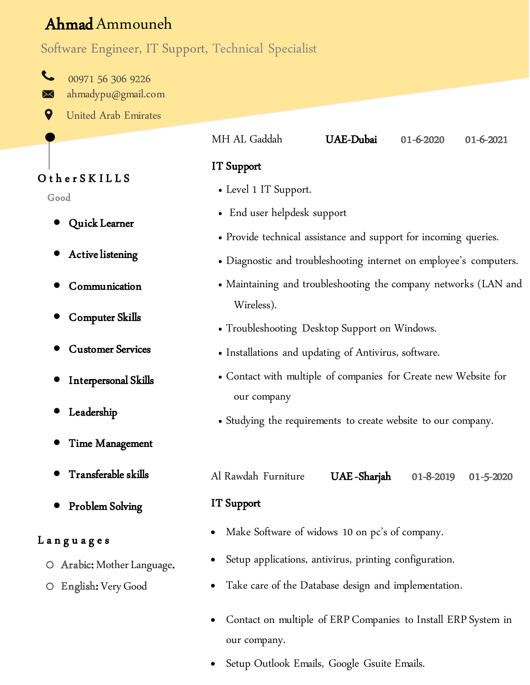# Ahmad Ammouneh

## Software Engineer, IT Support, Technical Specialist

 $\sim$ 00971 56 306 9226 ahmadypu@gmail.com  $\boxtimes$ 

9 United Arab Emirates

|                                               | MH AL Gaddah                                                                   | UAE-Dubai                                                        | 01-6-2020 | 01-6-2021 |  |  |
|-----------------------------------------------|--------------------------------------------------------------------------------|------------------------------------------------------------------|-----------|-----------|--|--|
|                                               | <b>IT</b> Support                                                              |                                                                  |           |           |  |  |
|                                               | • Level 1 IT Support.                                                          |                                                                  |           |           |  |  |
|                                               | • End user helpdesk support                                                    |                                                                  |           |           |  |  |
|                                               |                                                                                | • Provide technical assistance and support for incoming queries. |           |           |  |  |
|                                               | • Diagnostic and troubleshooting internet on employee's computers.             |                                                                  |           |           |  |  |
|                                               | • Maintaining and troubleshooting the company networks (LAN and<br>Wireless).  |                                                                  |           |           |  |  |
| • Troubleshooting Desktop Support on Windows. |                                                                                |                                                                  |           |           |  |  |
|                                               |                                                                                | • Installations and updating of Antivirus, software.             |           |           |  |  |
|                                               | • Contact with multiple of companies for Create new Website for<br>our company |                                                                  |           |           |  |  |
|                                               | • Studying the requirements to create website to our company.                  |                                                                  |           |           |  |  |
|                                               | Al Rawdah Furniture                                                            | UAE -Sharjah                                                     | 01-8-2019 | 01-5-2020 |  |  |
|                                               | IT Support                                                                     |                                                                  |           |           |  |  |
|                                               | Make Software of widows 10 on pc's of company.                                 |                                                                  |           |           |  |  |
| ge.                                           | Setup applications, antivirus, printing configuration.                         |                                                                  |           |           |  |  |
|                                               | Take care of the Database design and implementation.                           |                                                                  |           |           |  |  |
|                                               | Contact on multiple of ERP Companies to Install ERP System in                  |                                                                  |           |           |  |  |

Setup Outlook Emails, Google Gsuite Emails.

our company.

## O ther SKILLS

Good

- Quick Learner
- Active listening
- Communication
- Computer Skills
- Customer Services
- Interpersonal Skills
- Leadership
- Time Management
- Transferable skills
- Problem Solving

#### Languages

- O Arabic: Mother Languag
- o English: Very Good